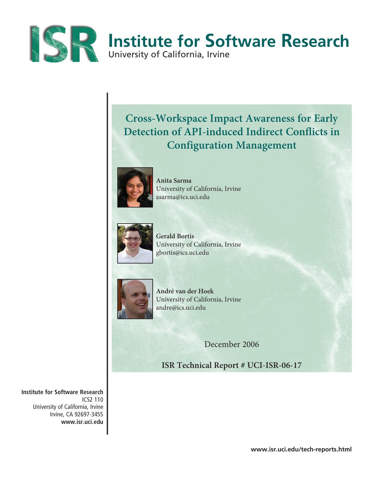

# **Cross-Workspace Impact Awareness for Early Detection of API-induced Indirect Conflicts in Configuration Management**



**Anita Sarma**  University of California, Irvine asarma@ics.uci.edu



**Gerald Bortis** University of California, Irvine gbortis@ics.uci.edu



**André van der Hoek** University of California, Irvine andre@ics.uci.edu

December 2006

**ISR Technical Report # UCI-ISR-06-17**

**Institute for Software Research** ICS2 110 University of California, Irvine Irvine, CA 92697-3455 **www.isr.uci.edu**

**www.isr.uci.edu/tech-reports.html**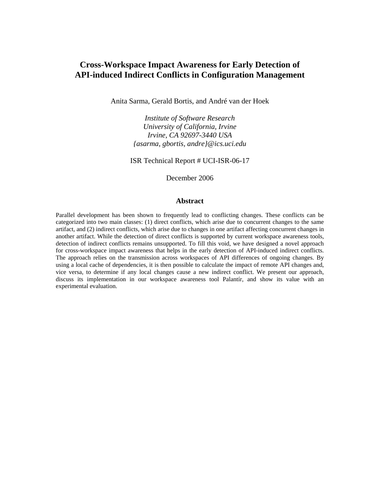# **Cross-Workspace Impact Awareness for Early Detection of API-induced Indirect Conflicts in Configuration Management**

Anita Sarma, Gerald Bortis, and André van der Hoek

*Institute of Software Research University of California, Irvine Irvine, CA 92697-3440 USA {asarma, gbortis, andre}@ics.uci.edu* 

ISR Technical Report # UCI-ISR-06-17

December 2006

## **Abstract**

Parallel development has been shown to frequently lead to conflicting changes. These conflicts can be categorized into two main classes: (1) direct conflicts, which arise due to concurrent changes to the same artifact, and (2) indirect conflicts, which arise due to changes in one artifact affecting concurrent changes in another artifact. While the detection of direct conflicts is supported by current workspace awareness tools, detection of indirect conflicts remains unsupported. To fill this void, we have designed a novel approach for cross-workspace impact awareness that helps in the early detection of API-induced indirect conflicts. The approach relies on the transmission across workspaces of API differences of ongoing changes. By using a local cache of dependencies, it is then possible to calculate the impact of remote API changes and, vice versa, to determine if any local changes cause a new indirect conflict. We present our approach, discuss its implementation in our workspace awareness tool Palantír, and show its value with an experimental evaluation.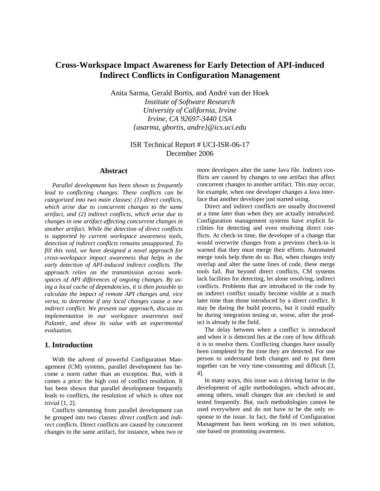# **Cross-Workspace Impact Awareness for Early Detection of API-induced Indirect Conflicts in Configuration Management**

Anita Sarma, Gerald Bortis, and André van der Hoek

*Institute of Software Research University of California, Irvine Irvine, CA 92697-3440 USA {asarma, gbortis, andre}@ics.uci.edu* 

# ISR Technical Report # UCI-ISR-06-17 December 2006

#### **Abstract**

*Parallel development has been shown to frequently lead to conflicting changes. These conflicts can be categorized into two main classes: (1) direct conflicts, which arise due to concurrent changes to the same artifact, and (2) indirect conflicts, which arise due to changes in one artifact affecting concurrent changes in another artifact. While the detection of direct conflicts is supported by current workspace awareness tools, detection of indirect conflicts remains unsupported. To fill this void, we have designed a novel approach for cross-workspace impact awareness that helps in the early detection of API-induced indirect conflicts. The approach relies on the transmission across workspaces of API differences of ongoing changes. By using a local cache of dependencies, it is then possible to calculate the impact of remote API changes and, vice versa, to determine if any local changes cause a new indirect conflict. We present our approach, discuss its implementation in our workspace awareness tool Palantír, and show its value with an experimental evaluation.* 

### **1. Introduction**

With the advent of powerful Configuration Management (CM) systems, parallel development has become a norm rather than an exception. But, with it comes a price: the high cost of conflict resolution. It has been shown that parallel development frequently leads to conflicts, the resolution of which is often not trivial [1, 2].

Conflicts stemming from parallel development can be grouped into two classes: *direct conflicts* and *indirect conflicts*. Direct conflicts are caused by concurrent changes to the same artifact, for instance, when two or

more developers alter the same Java file. Indirect conflicts are caused by changes to one artifact that affect concurrent changes to another artifact. This may occur, for example, when one developer changes a Java interface that another developer just started using.

Direct and indirect conflicts are usually discovered at a time later than when they are actually introduced. Configuration management systems have explicit facilities for detecting and even resolving direct conflicts. At check-in time, the developer of a change that would overwrite changes from a previous check-in is warned that they must merge their efforts. Automated merge tools help them do so. But, when changes truly overlap and alter the same lines of code, these merge tools fail. But beyond direct conflicts, CM systems lack facilities for detecting, let alone resolving, indirect conflicts. Problems that are introduced in the code by an indirect conflict usually become visible at a much later time than those introduced by a direct conflict. It may be during the build process, but it could equally be during integration testing or, worse, after the product is already in the field.

The delay between when a conflict is introduced and when it is detected lies at the core of how difficult it is to resolve them. Conflicting changes have usually been completed by the time they are detected. For one person to understand both changes and to put them together can be very time-consuming and difficult [3, 4].

In many ways, this issue was a driving factor in the development of agile methodologies, which advocate, among others, small changes that are checked in and tested frequently. But, such methodologies cannot be used everywhere and do not have to be the only response to the issue. In fact, the field of Configuration Management has been working on its own solution, one based on promoting awareness.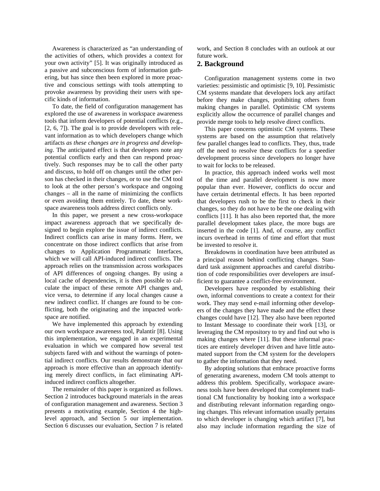Awareness is characterized as "an understanding of the activities of others, which provides a context for your own activity" [5]. It was originally introduced as a passive and subconscious form of information gathering, but has since then been explored in more proactive and conscious settings with tools attempting to provoke awareness by providing their users with specific kinds of information.

To date, the field of configuration management has explored the use of awareness in workspace awareness tools that inform developers of potential conflicts (e.g., [2, 6, 7]). The goal is to provide developers with relevant information as to which developers change which artifacts *as these changes are in progress and developing*. The anticipated effect is that developers note any potential conflicts early and then can respond proactively. Such responses may be to call the other party and discuss, to hold off on changes until the other person has checked in their changes, or to use the CM tool to look at the other person's workspace and ongoing changes – all in the name of minimizing the conflicts or even avoiding them entirely. To date, these workspace awareness tools address direct conflicts only.

In this paper, we present a new cross-workspace impact awareness approach that we specifically designed to begin explore the issue of indirect conflicts. Indirect conflicts can arise in many forms. Here, we concentrate on those indirect conflicts that arise from changes to Application Programmatic Interfaces, which we will call API-induced indirect conflicts. The approach relies on the transmission across workspaces of API differences of ongoing changes. By using a local cache of dependencies, it is then possible to calculate the impact of these remote API changes and, vice versa, to determine if any local changes cause a new indirect conflict. If changes are found to be conflicting, both the originating and the impacted workspace are notified.

We have implemented this approach by extending our own workspace awareness tool, Palantír [8]. Using this implementation, we engaged in an experimental evaluation in which we compared how several test subjects fared with and without the warnings of potential indirect conflicts. Our results demonstrate that our approach is more effective than an approach identifying merely direct conflicts, in fact eliminating APIinduced indirect conflicts altogether.

The remainder of this paper is organized as follows. Section 2 introduces background materials in the areas of configuration management and awareness. Section 3 presents a motivating example, Section 4 the highlevel approach, and Section 5 our implementation. Section 6 discusses our evaluation, Section 7 is related

work, and Section 8 concludes with an outlook at our future work.

#### **2. Background**

Configuration management systems come in two varieties: pessimistic and optimistic [9, 10]. Pessimistic CM systems mandate that developers lock any artifact before they make changes, prohibiting others from making changes in parallel. Optimistic CM systems explicitly allow the occurrence of parallel changes and provide merge tools to help resolve direct conflicts.

This paper concerns optimistic CM systems. These systems are based on the assumption that relatively few parallel changes lead to conflicts. They, thus, trade off the need to resolve these conflicts for a speedier development process since developers no longer have to wait for locks to be released.

In practice, this approach indeed works well most of the time and parallel development is now more popular than ever. However, conflicts do occur and have certain detrimental effects. It has been reported that developers rush to be the first to check in their changes, so they do not have to be the one dealing with conflicts [11]. It has also been reported that, the more parallel development takes place, the more bugs are inserted in the code [1]. And, of course, any conflict incurs overhead in terms of time and effort that must be invested to resolve it.

Breakdowns in coordination have been attributed as a principal reason behind conflicting changes. Standard task assignment approaches and careful distribution of code responsibilities over developers are insufficient to guarantee a conflict-free environment.

Developers have responded by establishing their own, informal conventions to create a context for their work. They may send e-mail informing other developers of the changes they have made and the effect these changes could have [12]. They also have been reported to Instant Message to coordinate their work [13], or leveraging the CM repository to try and find out who is making changes where [11]. But these informal practices are entirely developer driven and have little automated support from the CM system for the developers to gather the information that they need.

By adopting solutions that embrace proactive forms of generating awareness, modern CM tools attempt to address this problem. Specifically, workspace awareness tools have been developed that complement traditional CM functionality by hooking into a workspace and distributing relevant information regarding ongoing changes. This relevant information usually pertains to which developer is changing which artifact [7], but also may include information regarding the size of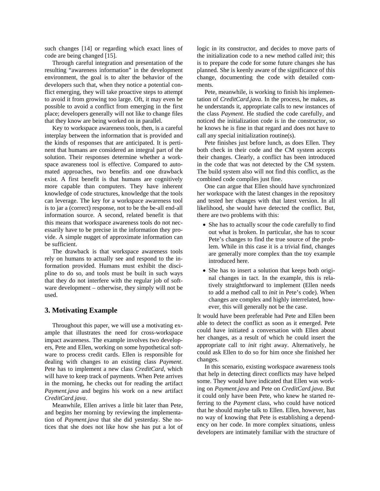such changes [14] or regarding which exact lines of code are being changed [15].

Through careful integration and presentation of the resulting "awareness information" in the development environment, the goal is to alter the behavior of the developers such that, when they notice a potential conflict emerging, they will take proactive steps to attempt to avoid it from growing too large. Oft, it may even be possible to avoid a conflict from emerging in the first place; developers generally will not like to change files that they know are being worked on in parallel.

Key to workspace awareness tools, then, is a careful interplay between the information that is provided and the kinds of responses that are anticipated. It is pertinent that humans are considered an integral part of the solution. Their responses determine whether a workspace awareness tool is effective. Compared to automated approaches, two benefits and one drawback exist. A first benefit is that humans are cognitively more capable than computers. They have inherent knowledge of code structures, knowledge that the tools can leverage. The key for a workspace awareness tool is to jar a (correct) response, not to be the be-all end-all information source. A second, related benefit is that this means that workspace awareness tools do not necessarily have to be precise in the information they provide. A simple nugget of approximate information can be sufficient.

The drawback is that workspace awareness tools rely on humans to actually see and respond to the information provided. Humans must exhibit the discipline to do so, and tools must be built in such ways that they do not interfere with the regular job of software development – otherwise, they simply will not be used.

#### **3. Motivating Example**

Throughout this paper, we will use a motivating example that illustrates the need for cross-workspace impact awareness. The example involves two developers, Pete and Ellen, working on some hypothetical software to process credit cards. Ellen is responsible for dealing with changes to an existing class *Payment*. Pete has to implement a new class *CreditCard*, which will have to keep track of payments. When Pete arrives in the morning, he checks out for reading the artifact *Payment.java* and begins his work on a new artifact *CreditCard.java*.

Meanwhile, Ellen arrives a little bit later than Pete, and begins her morning by reviewing the implementation of *Payment.java* that she did yesterday. She notices that she does not like how she has put a lot of logic in its constructor, and decides to move parts of the initialization code to a new method called *init*; this is to prepare the code for some future changes she has planned. She is keenly aware of the significance of this change, documenting the code with detailed comments.

Pete, meanwhile, is working to finish his implementation of *CreditCard.java*. In the process, he makes, as he understands it, appropriate calls to new instances of the class *Payment*. He studied the code carefully, and noticed the initialization code is in the constructor, so he knows he is fine in that regard and does not have to call any special initialization routine(s).

Pete finishes just before lunch, as does Ellen. They both check in their code and the CM system accepts their changes. Clearly, a conflict has been introduced in the code that was not detected by the CM system. The build system also will not find this conflict, as the combined code compiles just fine.

One can argue that Ellen should have synchronized her workspace with the latest changes in the repository and tested her changes with that latest version. In all likelihood, she would have detected the conflict. But, there are two problems with this:

- She has to actually scour the code carefully to find out what is broken. In particular, she has to scour Pete's changes to find the true source of the problem. While in this case it is a trivial find, changes are generally more complex than the toy example introduced here.
- She has to insert a solution that keeps both original changes in tact. In the example, this is relatively straightforward to implement (Ellen needs to add a method call to *init* in Pete's code). When changes are complex and highly interrelated, however, this will generally not be the case.

It would have been preferable had Pete and Ellen been able to detect the conflict as soon as it emerged. Pete could have initiated a conversation with Ellen about her changes, as a result of which he could insert the appropriate call to *init* right away. Alternatively, he could ask Ellen to do so for him once she finished her changes.

In this scenario, existing workspace awareness tools that help in detecting direct conflicts may have helped some. They would have indicated that Ellen was working on *Payment.java* and Pete on *CreditCard.java*. But it could only have been Pete, who knew he started referring to the *Payment* class, who could have noticed that he should maybe talk to Ellen. Ellen, however, has no way of knowing that Pete is establishing a dependency on her code. In more complex situations, unless developers are intimately familiar with the structure of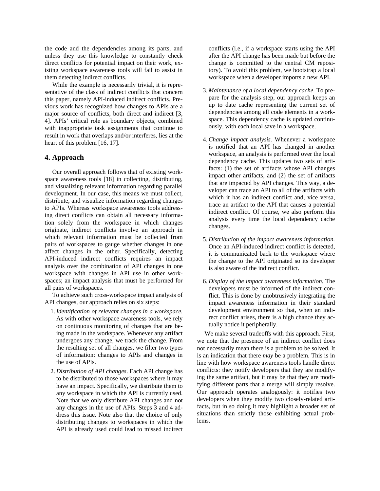the code and the dependencies among its parts, and unless they use this knowledge to constantly check direct conflicts for potential impact on their work, existing workspace awareness tools will fail to assist in them detecting indirect conflicts.

While the example is necessarily trivial, it is representative of the class of indirect conflicts that concern this paper, namely API-induced indirect conflicts. Previous work has recognized how changes to APIs are a major source of conflicts, both direct and indirect [3, 4]. APIs' critical role as boundary objects, combined with inappropriate task assignments that continue to result in work that overlaps and/or interferes, lies at the heart of this problem [16, 17].

#### **4. Approach**

Our overall approach follows that of existing workspace awareness tools [18] in collecting, distributing, and visualizing relevant information regarding parallel development. In our case, this means we must collect, distribute, and visualize information regarding changes to APIs. Whereas workspace awareness tools addressing direct conflicts can obtain all necessary information solely from the workspace in which changes originate, indirect conflicts involve an approach in which relevant information must be collected from pairs of workspaces to gauge whether changes in one affect changes in the other. Specifically, detecting API-induced indirect conflicts requires an impact analysis over the combination of API changes in one workspace with changes in API use in other workspaces; an impact analysis that must be performed for all pairs of workspaces.

To achieve such cross-workspace impact analysis of API changes, our approach relies on six steps:

- 1. *Identification of relevant changes in a workspace.*  As with other workspace awareness tools, we rely on continuous monitoring of changes that are being made in the workspace. Whenever any artifact undergoes any change, we track the change. From the resulting set of all changes, we filter two types of information: changes to APIs and changes in the use of APIs.
- 2. *Distribution of API changes*. Each API change has to be distributed to those workspaces where it may have an impact. Specifically, we distribute them to any workspace in which the API is currently used. Note that we only distribute API changes and not any changes in the use of APIs. Steps 3 and 4 address this issue. Note also that the choice of only distributing changes to workspaces in which the API is already used could lead to missed indirect

conflicts (i.e., if a workspace starts using the API after the API change has been made but before the change is committed to the central CM repository). To avoid this problem, we bootstrap a local workspace when a developer imports a new API.

- 3. *Maintenance of a local dependency cache.* To prepare for the analysis step, our approach keeps an up to date cache representing the current set of dependencies among all code elements in a workspace. This dependency cache is updated continuously, with each local save in a workspace.
- 4. *Change impact analysis.* Whenever a workspace is notified that an API has changed in another workspace, an analysis is performed over the local dependency cache. This updates two sets of artifacts: (1) the set of artifacts whose API changes impact other artifacts, and (2) the set of artifacts that are impacted by API changes. This way, a developer can trace an API to all of the artifacts with which it has an indirect conflict and, vice versa, trace an artifact to the API that causes a potential indirect conflict. Of course, we also perform this analysis every time the local dependency cache changes.
- 5. *Distribution of the impact awareness information.*  Once an API-induced indirect conflict is detected, it is communicated back to the workspace where the change to the API originated so its developer is also aware of the indirect conflict.
- 6. *Display of the impact awareness information.* The developers must be informed of the indirect conflict. This is done by unobtrusively integrating the impact awareness information in their standard development environment so that, when an indirect conflict arises, there is a high chance they actually notice it peripherally.

We make several tradeoffs with this approach. First, we note that the presence of an indirect conflict does not necessarily mean there is a problem to be solved. It is an indication that there *may* be a problem. This is in line with how workspace awareness tools handle direct conflicts: they notify developers that they are modifying the same artifact, but it may be that they are modifying different parts that a merge will simply resolve. Our approach operates analogously: it notifies two developers when they modify two closely-related artifacts, but in so doing it may highlight a broader set of situations than strictly those exhibiting actual problems.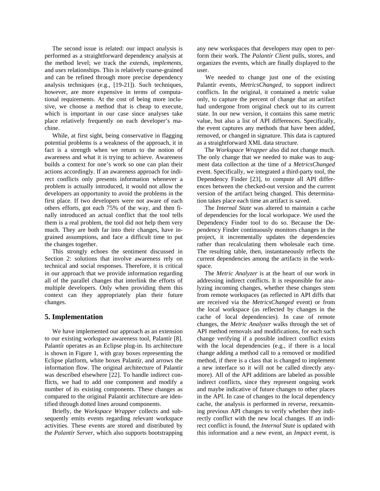The second issue is related: our impact analysis is performed as a straightforward dependency analysis at the method level; we track the *extends*, *implements*, and *uses* relationships. This is relatively coarse-grained and can be refined through more precise dependency analysis techniques (e.g., [19-21]). Such techniques, however, are more expensive in terms of computational requirements. At the cost of being more inclusive, we choose a method that is cheap to execute, which is important in our case since analyses take place relatively frequently on each developer's machine.

While, at first sight, being conservative in flagging potential problems is a weakness of the approach, it in fact is a strength when we return to the notion of awareness and what it is trying to achieve. Awareness builds a context for one's work so one can plan their actions accordingly. If an awareness approach for indirect conflicts only presents information whenever a problem is actually introduced, it would not allow the developers an opportunity to avoid the problems in the first place. If two developers were not aware of each others efforts, got each 75% of the way, and then finally introduced an actual conflict that the tool tells them is a real problem, the tool did not help them very much. They are both far into their changes, have ingrained assumptions, and face a difficult time to put the changes together.

This strongly echoes the sentiment discussed in Section 2: solutions that involve awareness rely on technical and social responses. Therefore, it is critical in our approach that we provide information regarding all of the parallel changes that interlink the efforts of multiple developers. Only when providing them this context can they appropriately plan their future changes.

#### **5. Implementation**

We have implemented our approach as an extension to our existing workspace awareness tool, Palantír [8]. Palantír operates as an Eclipse plug-in. Its architecture is shown in Figure 1, with gray boxes representing the Eclipse platform, white boxes Palantír, and arrows the information flow. The original architecture of Palantír was described elsewhere [22]. To handle indirect conflicts, we had to add one component and modify a number of its existing components. These changes as compared to the original Palantír architecture are identified through dotted lines around components.

Briefly, the *Workspace Wrapper* collects and subsequently emits events regarding relevant workspace activities. These events are stored and distributed by the *Palantír Server*, which also supports bootstrapping any new workspaces that developers may open to perform their work. The *Palantír Client* pulls, stores, and organizes the events, which are finally displayed to the user.

We needed to change just one of the existing Palantír events, *MetricsChanged*, to support indirect conflicts. In the original, it contained a metric value only, to capture the percent of change that an artifact had undergone from original check out to its current state. In our new version, it contains this same metric value, but also a list of API differences. Specifically, the event captures any methods that have been added, removed, or changed in signature. This data is captured as a straightforward XML data structure.

The *Workspace Wrapper* also did not change much. The only change that we needed to make was to augment data collection at the time of a *MetricsChanged* event. Specifically, we integrated a third-party tool, the Dependency Finder [23], to compute all API differences between the checked-out version and the current version of the artifact being changed. This determination takes place each time an artifact is saved.

The *Internal State* was altered to maintain a cache of dependencies for the local workspace. We used the Dependency Finder tool to do so. Because the Dependency Finder continuously monitors changes in the project, it incrementally updates the dependencies rather than recalculating them wholesale each time. The resulting table, then, instantaneously reflects the current dependencies among the artifacts in the workspace.

The *Metric Analyzer* is at the heart of our work in addressing indirect conflicts. It is responsible for analyzing incoming changes, whether these changes stem from remote workspaces (as reflected in API diffs that are received via the *MetricsChanged* event) or from the local workspace (as reflected by changes in the cache of local dependencies). In case of remote changes, the *Metric Analyzer* walks through the set of API method removals and modifications, for each such change verifying if a possible indirect conflict exists with the local dependencies (e.g., if there is a local change adding a method call to a removed or modified method, if there is a class that is changed to implement a new interface so it will not be called directly anymore). All of the API additions are labeled as possible indirect conflicts, since they represent ongoing work and maybe indicative of future changes to other places in the API. In case of changes to the local dependency cache, the analysis is performed in reverse, reexamining previous API changes to verify whether they indirectly conflict with the new local changes. If an indirect conflict is found, the *Internal State* is updated with this information and a new event, an *Impact* event, is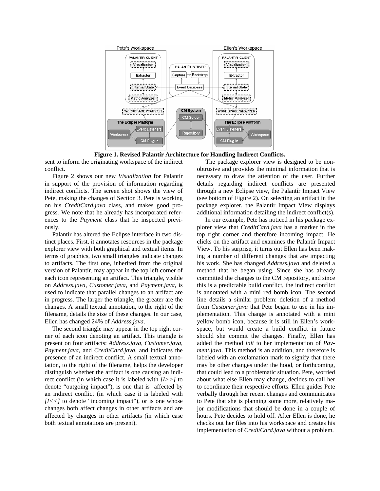

**Figure 1. Revised Palantír Architecture for Handling Indirect Conflicts.** 

sent to inform the originating workspace of the indirect conflict.

Figure 2 shows our new *Visualization* for Palantír in support of the provision of information regarding indirect conflicts. The screen shot shows the view of Pete, making the changes of Section 3. Pete is working on his *CreditCard.java* class, and makes good progress. We note that he already has incorporated references to the *Payment* class that he inspected previously.

Palantír has altered the Eclipse interface in two distinct places. First, it annotates resources in the package explorer view with both graphical and textual items. In terms of graphics, two small triangles indicate changes to artifacts. The first one, inherited from the original version of Palantír, may appear in the top left corner of each icon representing an artifact. This triangle, visible on *Address.java*, *Customer.java*, and *Payment.java,* is used to indicate that parallel changes to an artifact are in progress. The larger the triangle, the greater are the changes. A small textual annotation, to the right of the filename, details the size of these changes. In our case, Ellen has changed 24% of *Address.java*.

The second triangle may appear in the top right corner of each icon denoting an artifact. This triangle is present on four artifacts: *Address.java*, *Customer.java*, *Payment.java*, and *CreditCard.java*, and indicates the presence of an indirect conflict. A small textual annotation, to the right of the filename, helps the developer distinguish whether the artifact is one causing an indirect conflict (in which case it is labeled with *[I>>]* to denote "outgoing impact"), is one that is affected by an indirect conflict (in which case it is labeled with *[I<<]* to denote "incoming impact"), or is one whose changes both affect changes in other artifacts and are affected by changes in other artifacts (in which case both textual annotations are present).

The package explorer view is designed to be nonobtrusive and provides the minimal information that is necessary to draw the attention of the user. Further details regarding indirect conflicts are presented through a new Eclipse view, the Palantír Impact View (see bottom of Figure 2). On selecting an artifact in the package explorer, the Palantír Impact View displays additional information detailing the indirect conflict(s).

In our example, Pete has noticed in his package explorer view that *CreditCard.java* has a marker in the top right corner and therefore incoming impact. He clicks on the artifact and examines the Palantír Impact View. To his surprise, it turns out Ellen has been making a number of different changes that are impacting his work. She has changed *Address.java* and deleted a method that he began using. Since she has already committed the changes to the CM repository, and since this is a predictable build conflict, the indirect conflict is annotated with a mini red bomb icon. The second line details a similar problem: deletion of a method from *Customer.java* that Pete began to use in his implementation. This change is annotated with a mini yellow bomb icon, because it is still in Ellen's workspace, but would create a build conflict in future should she commit the changes. Finally, Ellen has added the method *init* to her implementation of *Payment.java*. This method is an addition, and therefore is labeled with an exclamation mark to signify that there may be other changes under the hood, or forthcoming, that could lead to a problematic situation. Pete, worried about what else Ellen may change, decides to call her to coordinate their respective efforts. Ellen guides Pete verbally through her recent changes and communicates to Pete that she is planning some more, relatively major modifications that should be done in a couple of hours. Pete decides to hold off. After Ellen is done, he checks out her files into his workspace and creates his implementation of *CreditCard*.*java* without a problem.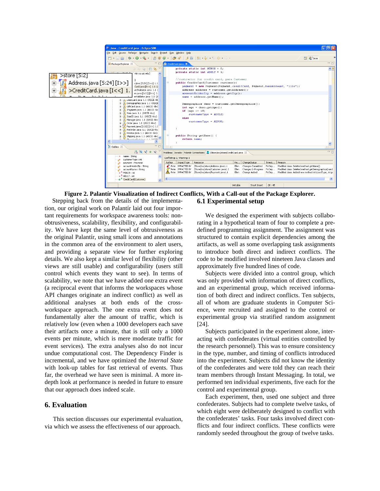



Stepping back from the details of the implementation, our original work on Palantír laid out four important requirements for workspace awareness tools: nonobtrusiveness, scalability, flexibility, and configurability. We have kept the same level of obtrusiveness as the original Palantír, using small icons and annotations in the common area of the environment to alert users, and providing a separate view for further exploring details. We also kept a similar level of flexibility (other views are still usable) and configurability (users still control which events they want to see). In terms of scalability, we note that we have added one extra event (a reciprocal event that informs the workspaces whose API changes originate an indirect conflict) as well as additional analyses at both ends of the crossworkspace approach. The one extra event does not fundamentally alter the amount of traffic, which is relatively low (even when a 1000 developers each save their artifacts once a minute, that is still only a 1000 events per minute, which is mere moderate traffic for event services). The extra analyses also do not incur undue computational cost. The Dependency Finder is incremental, and we have optimized the *Internal State* with look-up tables for fast retrieval of events. Thus far, the overhead we have seen is minimal. A more indepth look at performance is needed in future to ensure that our approach does indeed scale.

#### **6. Evaluation**

This section discusses our experimental evaluation, via which we assess the effectiveness of our approach.

We designed the experiment with subjects collaborating in a hypothetical team of four to complete a predefined programming assignment. The assignment was structured to contain explicit dependencies among the artifacts, as well as some overlapping task assignments to introduce both direct and indirect conflicts. The code to be modified involved nineteen Java classes and approximately five hundred lines of code.

Subjects were divided into a control group, which was only provided with information of direct conflicts, and an experimental group, which received information of both direct and indirect conflicts. Ten subjects, all of whom are graduate students in Computer Science, were recruited and assigned to the control or experimental group via stratified random assignment [24].

Subjects participated in the experiment alone, interacting with confederates (virtual entities controlled by the research personnel). This was to ensure consistency in the type, number, and timing of conflicts introduced into the experiment. Subjects did not know the identity of the confederates and were told they can reach their team members through Instant Messaging. In total, we performed ten individual experiments, five each for the control and experimental group.

Each experiment, then, used one subject and three confederates. Subjects had to complete twelve tasks, of which eight were deliberately designed to conflict with the confederates' tasks. Four tasks involved direct conflicts and four indirect conflicts. These conflicts were randomly seeded throughout the group of twelve tasks.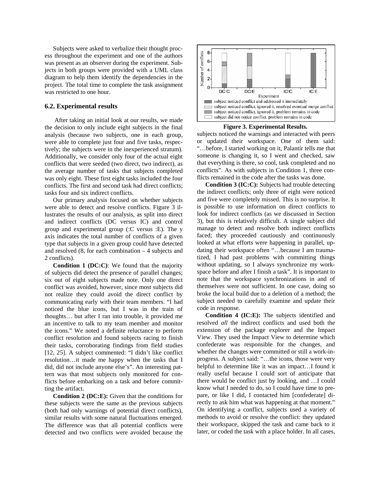Subjects were asked to verbalize their thought process throughout the experiment and one of the authors was present as an observer during the experiment. Subjects in both groups were provided with a UML class diagram to help them identify the dependencies in the project. The total time to complete the task assignment was restricted to one hour.

#### **6.2. Experimental results**

After taking an initial look at our results, we made the decision to only include eight subjects in the final analysis (because two subjects, one in each group, were able to complete just four and five tasks, respectively; the subjects were in the inexperienced stratum). Additionally, we consider only four of the actual eight conflicts that were seeded (two direct, two indirect), as the average number of tasks that subjects completed was only eight. These first eight tasks included the four conflicts. The first and second task had direct conflicts; tasks four and six indirect conflicts.

Our primary analysis focused on whether subjects were able to detect and resolve conflicts. Figure 3 illustrates the results of our analysis, as split into direct and indirect conflicts (DC versus IC) and control group and experimental group (:C versus :E). The y axis indicates the total number of conflicts of a given type that subjects in a given group could have detected and resolved  $(8,$  for each combination  $-4$  subjects and 2 conflicts).

**Condition 1 (DC:C)**: We found that the majority of subjects did detect the presence of parallel changes; six out of eight subjects made note. Only one direct conflict was avoided, however, since most subjects did not realize they could avoid the direct conflict by communicating early with their team members. "I had noticed the blue icons, but I was in the train of thoughts… but after I ran into trouble, it provided me an incentive to talk to my team member and monitor the icons." We noted a definite reluctance to perform conflict resolution and found subjects racing to finish their tasks, corroborating findings from field studies [12, 25]. A subject commented: "I didn't like conflict resolution…it made me happy when the tasks that I did, did not include anyone else's". An interesting pattern was that most subjects only monitored for conflicts before embarking on a task and before committing the artifact.

**Condition 2 (DC:E):** Given that the conditions for these subjects were the same as the previous subjects (both had only warnings of potential direct conflicts), similar results with some natural fluctuations emerged. The difference was that all potential conflicts were detected and two conflicts were avoided because the



**Figure 3. Experimental Results.** 

subjects noticed the warnings and interacted with peers or updated their workspace. One of them said: "…before, I started working on it, Palantír tells me that someone is changing it, so I went and checked, saw that everything is there, so cool, task completed and no conflicts". As with subjects in Condition 1, three conflicts remained in the code after the tasks was done.

**Condition 3 (IC:C):** Subjects had trouble detecting the indirect conflicts; only three of eight were noticed and five were completely missed. This is no surprise. It is possible to use information on direct conflicts to look for indirect conflicts (as we discussed in Section 3), but this is relatively difficult. A single subject did manage to detect and resolve both indirect conflicts faced; they proceeded cautiously and continuously looked at what efforts were happening in parallel, updating their workspace often "…because I am traumatized, I had past problems with committing things without updating, so I always synchronize my workspace before and after I finish a task". It is important to note that the workspace synchronizations in and of themselves were not sufficient. In one case, doing so broke the local build due to a deletion of a method; the subject needed to carefully examine and update their code in response.

**Condition 4 (IC:E):** The subjects identified and resolved *all* the indirect conflicts and used both the extension of the package explorer and the Impact View. They used the Impact View to determine which confederate was responsible for the changes, and whether the changes were committed or still a work-inprogress. A subject said: "…the icons, those were very helpful to determine like it was an impact…I found it really useful because I could sort of anticipate that there would be conflict just by looking, and …I could know what I needed to do, so I could have time to prepare, or like I did, I contacted him [confederate] directly to ask him what was happening at that moment." On identifying a conflict, subjects used a variety of methods to avoid or resolve the conflict: they updated their workspace, skipped the task and came back to it later, or coded the task with a place holder. In all cases,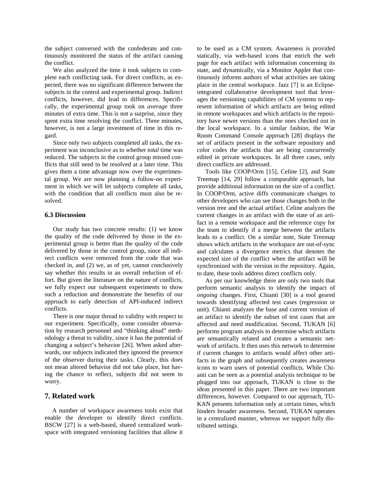the subject conversed with the confederate and continuously monitored the status of the artifact causing the conflict.

We also analyzed the time it took subjects to complete each conflicting task. For direct conflicts, as expected, there was no significant difference between the subjects in the control and experimental group. Indirect conflicts, however, did lead to differences. Specifically, the experimental group took on *average* three minutes of extra time. This is not a surprise, since they spent extra time resolving the conflict. Three minutes, however, is not a large investment of time in this regard.

Since only two subjects completed all tasks, the experiment was inconclusive as to whether *total* time was reduced. The subjects in the control group missed conflicts that still need to be resolved at a later time. This gives them a time advantage now over the experimental group. We are now planning a follow-on experiment in which we will let subjects complete all tasks, with the condition that all conflicts must also be resolved.

#### **6.3 Discussion**

Our study has two concrete results: (1) we know the quality of the code delivered by those in the experimental group is better than the quality of the code delivered by those in the control group, since all indirect conflicts were removed from the code that was checked in, and (2) we, as of yet, cannot conclusively say whether this results in an overall reduction of effort. But given the literature on the nature of conflicts, we fully expect our subsequent experiments to show such a reduction and demonstrate the benefits of our approach to early detection of API-induced indirect conflicts.

There is one major thread to validity with respect to our experiment. Specifically, some consider observation by research personnel and "thinking aloud" methodology a threat to validity, since it has the potential of changing a subject's behavior [26]. When asked afterwards, our subjects indicated they ignored the presence of the observer during their tasks. Clearly, this does not mean altered behavior did not take place, but having the chance to reflect, subjects did not seem to worry.

## **7. Related work**

A number of workspace awareness tools exist that enable the developer to identify direct conflicts. BSCW [27] is a web-based, shared centralized workspace with integrated versioning facilities that allow it to be used as a CM system. Awareness is provided statically, via web-based icons that enrich the web page for each artifact with information concerning its state, and dynamically, via a Monitor Applet that continuously informs authors of what activities are taking place in the central workspace. Jazz [7] is an Eclipseintegrated collaborative development tool that leverages the versioning capabilities of CM systems to represent information of which artifacts are being edited in remote workspaces and which artifacts in the repository have newer versions than the ones checked out in the local workspace. In a similar fashion, the War Room Command Console approach [28] displays the set of artifacts present in the software repository and color codes the artifacts that are being concurrently edited in private workspaces. In all three cases, only direct conflicts are addressed.

Tools like COOP/Orm [15], Celine [2], and State Treemap [14, 29] follow a comparable approach, but provide additional information on the size of a conflict. In COOP/Orm, active diffs communicate changes to other developers who can see those changes both in the version tree and the actual artifact. Celine analyzes the current changes in an artifact with the state of an artifact in a remote workspace and the reference copy for the team to identify if a merge between the artifacts leads to a conflict. On a similar note, State Treemap shows which artifacts in the workspace are out-of-sync and calculates a divergence metrics that denotes the expected size of the conflict when the artifact will be synchronized with the version in the repository. Again, to date, these tools address direct conflicts only.

As per our knowledge there are only two tools that perform semantic analysis to identify the impact of *ongoing* changes. First, Chianti [30] is a tool geared towards identifying affected test cases (regression or unit). Chianti analyzes the base and current version of an artifact to identify the subset of test cases that are affected and need modification. Second, TUKAN [6] performs program analysis to determine which artifacts are semantically related and creates a semantic network of artifacts. It then uses this network to determine if current changes to artifacts would affect other artifacts in the graph and subsequently creates awareness icons to warn users of potential conflicts. While Chianti can be seen as a potential analysis technique to be plugged into our approach, TUKAN is close to the ideas presented in this paper. There are two important differences, however. Compared to our approach, TU-KAN presents information only at certain times, which hinders broader awareness. Second, TUKAN operates in a centralized manner, whereas we support fully distributed settings.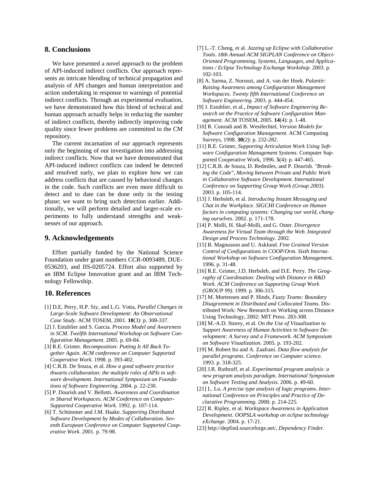#### **8. Conclusions**

We have presented a novel approach to the problem of API-induced indirect conflicts. Our approach represents an intricate blending of technical propagation and analysis of API changes and human interpretation and action undertaking in response to warnings of potential indirect conflicts. Through an experimental evaluation, we have demonstrated how this blend of technical and human approach actually helps in reducing the number of indirect conflicts, thereby indirectly improving code quality since fewer problems are committed to the CM repository.

The current incarnation of our approach represents only the beginning of our investigation into addressing indirect conflicts. Now that we have demonstrated that API-induced indirect conflicts can indeed be detected and resolved early, we plan to explore how we can address conflicts that are caused by behavioral changes in the code. Such conflicts are even more difficult to detect and to date can be done only in the testing phase; we want to bring such detection earlier. Additionally, we will perform detailed and larger-scale experiments to fully understand strengths and weaknesses of our approach.

#### **9. Acknowledgements**

Effort partially funded by the National Science Foundation under grant numbers CCR-0093489, DUE-0536203, and IIS-0205724. Effort also supported by an IBM Eclipse Innovation grant and an IBM Technology Fellowship.

#### **10. References**

- [1] D.E. Perry, H.P. Siy, and L.G. Votta, *Parallel Changes in Large-Scale Software Development: An Observational Case Study.* ACM TOSEM, 2001. **10**(3): p. 308-337.
- [2] J. Estublier and S. Garcia. *Process Model and Awareness in SCM*. *Twelfth International Workshop on Software Configuration Management*. 2005. p. 69-84.
- [3] R.E. Grinter. *Recomposition: Putting It All Back Together Again*. *ACM conference on Computer Supported Cooperative Work*. 1998. p. 393-402.
- [4] C.R.B. De Souza, et al. *How a good software practice thwarts collaboration: the multiple roles of APIs in software development*. *International Symposium on Foundations of Software Engineering*. 2004. p. 22-230.
- [5] P. Dourish and V. Bellotti. *Awareness and Coordination in Shared Workspaces*. *ACM Conference on Computer-Supported Cooperative Work*. 1992. p. 107-114.
- [6] T. Schümmer and J.M. Haake. *Supporting Distributed Software Development by Modes of Collaboration*. *Seventh European Conference on Computer Supported Cooperative Work*. 2001. p. 79-98.
- [7] L.-T. Cheng, et al. *Jazzing up Eclipse with Collaborative Tools*. *18th Annual ACM SIGPLAN Conference on Object-Oriented Programming, Systems, Languages, and Applications / Eclipse Technology Exchange Workshop*. 2003. p. 102-103.
- [8] A. Sarma, Z. Noroozi, and A. van der Hoek. *Palantír: Raising Awareness among Configuration Management Workspaces*. *Twenty fifth International Conference on Software Engineering*. 2003. p. 444-454.
- [9] J. Estublier, et al., *Impact of Software Engineering Research on the Practice of Software Configuration Management.* ACM TOSEM, 2005. **14**(4): p. 1-48.
- [10] R. Conradi and B. Westfechtel, *Version Models for Software Configuration Management.* ACM Computing Surveys, 1998. **30**(2): p. 232-282.
- [11] R.E. Grinter, *Supporting Articulation Work Using Software Configuration Management Systems.* Computer Supported Cooperative Work, 1996. **5**(4): p. 447-465.
- [12] C.R.B. de Souza, D. Redmiles, and P. Dourish. *"Breaking the Code", Moving between Private and Public Work in Collaborative Software Development*. *International Conference on Supporting Group Work (Group 2003)*. 2003. p. 105-114.
- [13] J. Herbsleb, et al. *Introducing Instant Messaging and Chat in the Workplace*. *SIGCHI Conference on Human factors in computing systems: Changing our world, changing ourselves*. 2002. p. 171-178.
- [14] P. Molli, H. Skaf-Molli, and G. Oster. *Divergence Awareness for Virtual Team through the Web*. *Integrated Design and Process Technology*. 2002.
- [15] B. Magnusson and U. Asklund. *Fine Grained Version Control of Configurations in COOP/Orm*. *Sixth International Workshop on Software Configuration Management*. 1996. p. 31-48.
- [16] R.E. Grinter, J.D. Herbsleb, and D.E. Perry. *The Geography of Coordination: Dealing with Distance in R&D Work*. *ACM Conference on Supporting Group Work (GROUP 99)*. 1999. p. 306-315.
- [17] M. Mortensen and P. Hinds, *Fuzzy Teams: Boundary Disagreement in Distributed and Collocated Teams*. Distributed Work: New Research on Working across Distance Using Technology, 2002: MIT Press. 283-308.
- [18] M.-A.D. Storey, et al. *On the Use of Visualization to Support Awareness of Human Activities in Software Development: A Survey and a Framework. ACM Symposium on Software Visualization*. 2005. p. 193-202.
- [19] M. Robert Ito and A. Zaafrani. *Data flow analysis for parallel programs*. *Conference on Computer science*. 1993. p. 318-325.
- [20] J.R. Ruthruff, et al. *Experimental program analysis: a new program analysis paradigm*. *International Symposium on Software Testing and Analysis*. 2006. p. 49-60.
- [21] L. Lu. *A precise type analysis of logic programs*. *International Conference on Principles and Practice of Declarative Programming*. 2000. p. 214-225.
- [22] R. Ripley, et al. *Workspace Awareness in Application Development*. *OOPSLA workshop on eclipse technology eXchange*. 2004. p. 17-21.
- [23] http://depfind.sourceforge.net/, *Dependency Finder*.